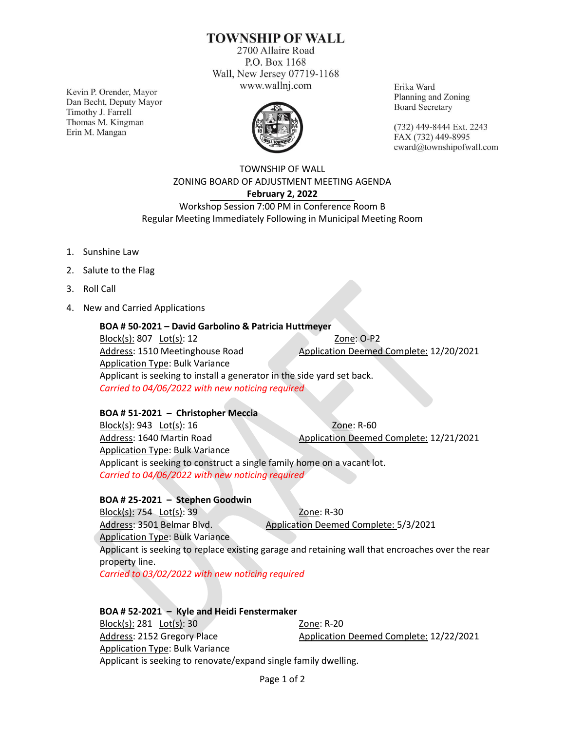# **TOWNSHIP OF WALL**

2700 Allaire Road P.O. Box 1168 Wall, New Jersey 07719-1168 www.wallnj.com

Kevin P. Orender, Mayor Dan Becht, Deputy Mayor Timothy J. Farrell Thomas M. Kingman Erin M. Mangan



Erika Ward Planning and Zoning **Board Secretary** 

(732) 449-8444 Ext. 2243 FAX (732) 449-8995 eward@townshipofwall.com

### TOWNSHIP OF WALL ZONING BOARD OF ADJUSTMENT MEETING AGENDA **February 2, 2022** Workshop Session 7:00 PM in Conference Room B

Regular Meeting Immediately Following in Municipal Meeting Room

- 1. Sunshine Law
- 2. Salute to the Flag
- 3. Roll Call
- 4. New and Carried Applications

### **BOA # 50-2021 – David Garbolino & Patricia Huttmeyer**

Block(s): 807 Lot(s): 12 Zone: O-P2 Address: 1510 Meetinghouse Road Application Deemed Complete: 12/20/2021 Application Type: Bulk Variance Applicant is seeking to install a generator in the side yard set back. *Carried to 04/06/2022 with new noticing required*

### **BOA # 51-2021 – Christopher Meccia**

Block(s): 943 Lot(s): 16 Zone: R-60 Address: 1640 Martin Road Application Deemed Complete: 12/21/2021 Application Type: Bulk Variance Applicant is seeking to construct a single family home on a vacant lot. *Carried to 04/06/2022 with new noticing required*

### **BOA # 25-2021 – Stephen Goodwin**

Block(s): 754 Lot(s): 39 Zone: R-30 Address: 3501 Belmar Blvd. Application Deemed Complete: 5/3/2021 Application Type: Bulk Variance Applicant is seeking to replace existing garage and retaining wall that encroaches over the rear property line. *Carried to 03/02/2022 with new noticing required*

#### **BOA # 52-2021 – Kyle and Heidi Fenstermaker** Block(s): 281 Lot(s): 30 Zone: R-20 Address: 2152 Gregory Place Application Deemed Complete: 12/22/2021 Application Type: Bulk Variance Applicant is seeking to renovate/expand single family dwelling.